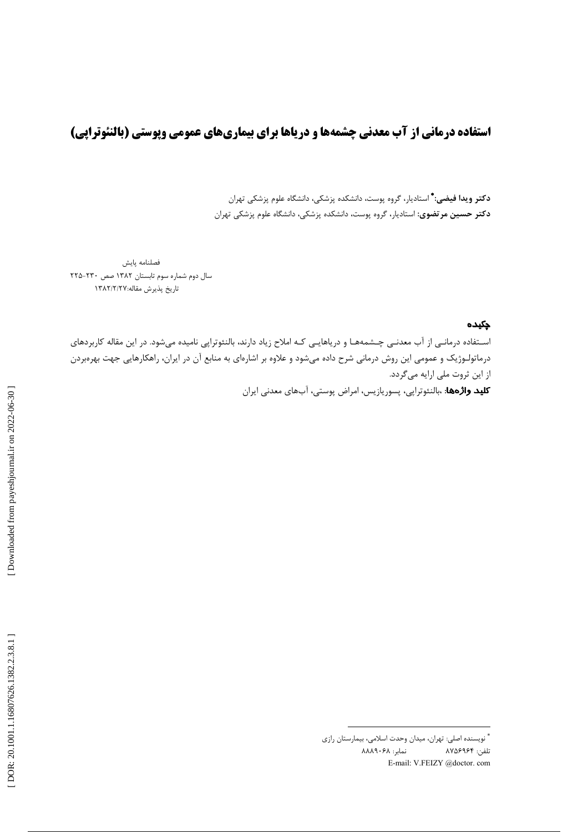# استفاده درمانی از آب معدنی چشمهها و دریاها برای بیماریهای عمومی وپوستی (بالنئوتراپی)

**دکتر ویدا فیضی:\*** استادیار، گروه پوست، دانشکده پزشکی، دانشگاه علوم پزشکی تهران **دکتر حسین مرتضوی:** استادیار، گروه پوست، دانشکده پزشکی، دانشگاه علوم پزشکی تهران

فصلنامه پایش سال دوم شماره سوم تابستان ١٣٨٢ صص ٢٣٠-٢٢٥ تاريخ پذيرش مقاله:١٣٨٢/٢/٢٧

چکیده

اسـتفاده درمانـي از آب معدنـي چـشمههـا و درياهايـي كـه املاح زياد دارند، بالنئوتراپي ناميده ميشود. در اين مقاله كاربردهاي درماتولـوژيک و عمومي اين روش درماني شرح داده ميشود و علاوه بر اشارهاي به منابع آن در ايران، راهکارهايي جهت بهرهبردن از این ثروت ملی ارایه میگردد. كليد واژهها: ،بالنئوتراپي، پسوريازيس، امراض پوستي، آبهاي معدني ايران

<sup>\*</sup> نويسنده اصلي: تهران، ميدان وحدت اسلامي، بيمارستان رازي نمابر: ۸۸۸۹۰۶۸ تلفن: ۸۷۵۶۹۶۴ E-mail: V.FEIZY @doctor.com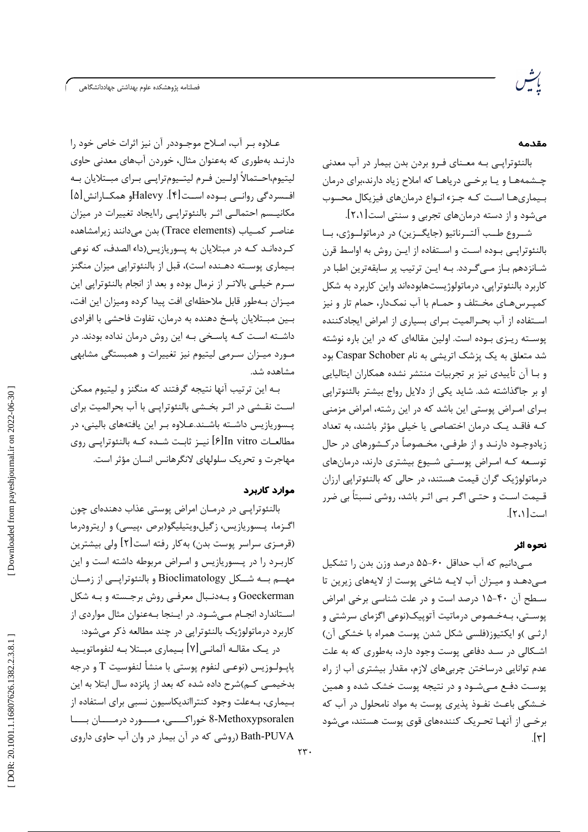.<br>فصلنامه پژوهشکده علوم بهداشتی جهاددانشگاهی



#### مقدمه

بالنئوترایـی بـه معـنای فـرو بردن بدن بیمار در آب معدنی چشمهها و یا برخی دریاها که املاح زیاد دارند،برای درمان بیماریها است کـه جـزء انـواع درمانهای فیزیکال محسوب میشود و از دسته درمانهای تجربی و سنتی است [۲،۱].

شــروع طــب آلتــرناتيو (جايگــزين) در درماتولــوژي، بــا بالنئوتراپي بـوده اسـت و اسـتفاده از ايـن روش به اواسط قرن شـانزدهم بـاز مـی گـردد. بـه ایـن ترتیب پر سابقهترین اطبا در کاربرد بالنئوترایی، درماتولوژیستهابودهاند واین کاربرد به شکل کمپـرسهـای مخـتلف و حمـام با آب نمکدار، حمام تار و نیز استفاده از آب بحـرالمیت بـرای بسیاری از امراض ایجادکننده پوسته ریزی بوده است. اولین مقالهای که در این باره نوشته شد متعلق به یک پزشک اتریشی به نام Caspar Schober بود و بـا آن تأييدي نيز بر تجربيات منتشر نشده همكاران ايتاليايي او بر جاگذاشته شد. شاید یکی از دلایل رواج بیشتر بالئنوتراپی بـرای امـراض پوستی این باشد که در این رشته، امراض مزمنی كـه فاقـد يـك درمان اختصاصى يا خيلى مؤثر باشند، به تعداد زیادوجـود دارنـد و از طرفـی، مخـصوصاً درکـشورهای در حال توسعه کـه امـراض پوسـتی شـیوع بیشتری دارند، درمانهای درماتولوژیک گران قیمت هستند، در حالی که بالنئوترایی ارزان قـیمت اسـت و حتـی اگـر بـی اثـر باشد، روشی نسبتاً بی ضرر است[۲،۱].

#### نحوه اثر

مےدانیم که آب حداقل ۶۰-۵۵ درصد وزن بدن را تشکیل مـهدهـد و ميـزان آب لايـه شاخى پوست از لايههاى زيرين تا سطح آن ۴۰-۱۵ درصد است و در علت شناسی برخی امراض یوسـتی، بـهخـصوص درماتیت آتوییک(نوعی اگزمای سرشتی و ارثے )و ایکتیوز(فلسی شکل شدن یوست همراه با خشکی آن) اشـكالى در سـد دفاعى پوست وجود دارد، بهطورى كه به علت عدم توانایی درساختن چربیهای لازم، مقدار بیشتری آب از راه یوست دفع مے شـود و در نتیجه یوست خشک شده و همین خـشکی باعـث نفـوذ پذیری پوست به مواد نامحلول در آب که برخـی از آنهـا تحـریک کنندههای قوی پوست هستند، می شود  $[\n\pi]$ 

عـلاوه بـر آب، امـلاح موجـوددر آن نيز اثرات خاص خود را دارنـد بهطوري كه بهعنوان مثال، خوردن آبهاي معدني حاوي ليتيوم،احــتمالاً اولــين فـرم ليتــيومترايــي بـراي مبــتلايان بــه افــسردگی روانــی بــوده اســت[۴]. Halevyو همکــارانش[۵] مکانیسم احتمالی اثـر بالنئوتراپـی را،ایجاد تغییرات در میزان عناصر كمياب (Trace elements) بدن مىدانند زيرامشاهده کـردهانـد کـه در مبتلایان به پسوریازیس(داء الصدف، که نوعی بـیماری پوســته دهــنده است)، قبل از بالنئوتراپی میزان منگنز سـرم خيلـي بالاتـر از نرمال بوده و بعد از انجام بالنئوترايي اين میـزان بـهطور قابل ملاحظهای افت پیدا کرده ومیزان این افت، بـين مبـتلايان پاسخ دهنده به درمان، تفاوت فاحشى با افرادى داشــته اســت كــه پاسـخى بــه اين روش درمان نداده بودند. در مورد میـزان سـرمی لیتیوم نیز تغییرات و همبستگی مشابهی مشاهده شد.

بـه این ترتیب آنها نتیجه گرفتند که منگنز و لیتیوم ممکن است نقـشی در اثـر بخـشی بالنئوتراپـی با آب بحرالمیت برای پـسوريازيس داشـته باشـند.عـلاوه بـر اين يافتههاى بالينى، در مطالعــات In vitro[۶] نیــز ثابـت شــده کــه بالنئوترایــی روی مهاجرت و تحریک سلولهای لانگرهانس انسان مؤثر است.

### موارد کاربرد

 $\tau\tau$ .

بالنئوترایـی در درمـان امراض یوستی عذاب دهندهای چون اگـزما، پـسوريازيس، زگيل،ويتيليگو(برص ،پيسى) و اريترودرما (قرمـزي سراسر پوست بدن) بهكار رفته است[۲] ولي بيشترين کاربرد را در پسوریازیس و امراض مربوطه داشته است و این مهــم بــه شــكل Bioclimatology و بالنئوترايــي از زمــان Goeckerman و بـهدنـبال معرفـي روش برجـسته و بـه شكل اسـتاندارد انجـام مـىشـود. در ايـنجا بـهعنوان مثال مواردى از کاربرد درماتولوژیک بالنئوتراپی در چند مطالعه ذکر میشود:

در یک مقالــه آلمانــی[۷] بــیماری مبــتلا بــه لنفوماتویــید پاپـولـوزيس (نوعـي لنفوم پوستي با منشأ لنفوسيت T و درجه بدخیمـی کـم)شرح داده شده که بعد از پانزده سال ابتلا به این بـیماری، بـهعلت وجود کنترااندیکاسیون نسبی برای استفاده از 8-Methoxypsoralen خوراكسيي، مسبورد درميسان بيسا Bath-PUVA (روشی که در آن بیمار در وان آب حاوی داروی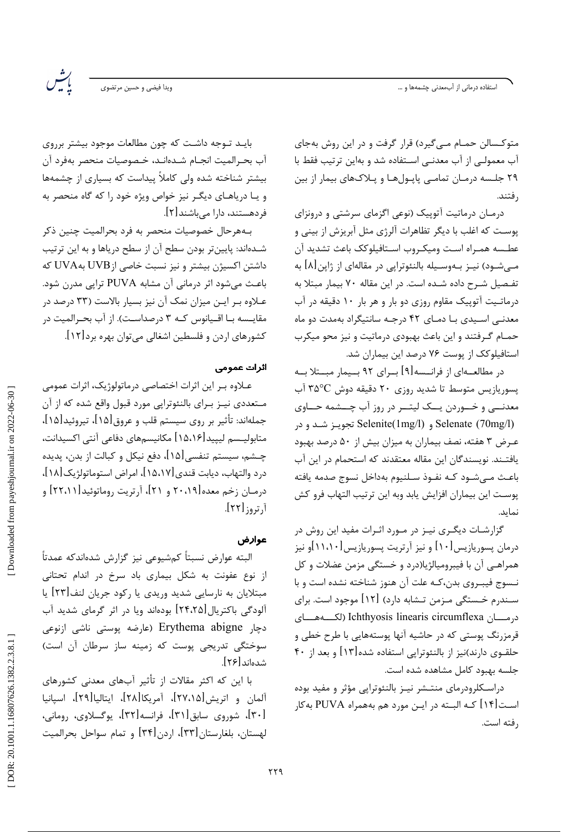استفاده درمانی از آبمعدنی چشمهها و …

.<br>مدا فیضے , و حسین مرتضو*ی* 

يكشس

متوکسالن حمـام مـیٍگیرد) قرار گرفت و در این روش بهجای آب معمولـى از آب معدنـى اسـتفاده شد و بهاين ترتيب فقط با ۲۹ جلسه درمان تمامے پایولها و پلاکهای بیمار از بین , فتند.

درمـان درماتیت آتوپیک (نوعی اگزمای سرشتی و درونزای پوست که اغلب با دیگر تظاهرات آلرژی مثل آبریزش از بینی و عطـسه همـراه اسـت وميكـروب اسـتافيلوكك باعث تشديد آن مـیشـود) نیـز بـهوسـیله بالنئوتراپی در مقالهای از ژاپن[۸] به تفـصيل شـرح داده شـده است. در اين مقاله ٧٠ بيمار مبتلا به درماتـیت آتوپیک مقاوم روزی دو بار و هر بار ۱۰ دقیقه در آب معدنے اسے دی با دمای ۴۲ درجـه سانتیگراد بهمدت دو ماه حمـام گـرفتند و اين باعث بهبودي درماتيت و نيز محو ميكرب استافیلوکک از یوست ۷۶ درصد این بیماران شد.

در مطالعــهای از فرانــسه[۹] بــرای ۹۲ بــیمار مبــتلا بــه پسوریازیس متوسط تا شدید روزی ۲۰ دقیقه دوش ۳۵°۲ آب معدنے و خــوردن پــک لیتــر در روز آب چــشمه حــاوی (70mg/l) و Selenate (1mg/l) تجويـز شـد و در عـرض ٣ هفته، نصف بيماران به ميزان بيش از ۵۰ درصد بهبود یافتـند. نویسندگان این مقاله معتقدند که استحمام در این آب باعث مـىشـود كـه نفـوذ سـلنيوم بهداخل نسوج صدمه يافته يوسـت اين بيماران افزايش يابد وبه اين ترتيب التهاب فرو كش نمايد.

گزارشـات دیگـری نیـز در مـورد اثـرات مفید این روش در درمان پسوریازیس[۱۰] و نیز آرتریت پسوریازیس[۱۱،۱۰]و نیز همراهـي آن با فيبروميالژيا(درد و خستگي مزمن عضلات و كل نـسوج فيبـروي بدن،كـه علت آن هنوز شناخته نشده است و با سـندرم خـستگی مـزمن تـشابه دارد) [۱۲] موجود است. برای درمسان Ichthyosis linearis circumflexa (لكسه هساى قرمزرنگ پوستی که در حاشیه آنها پوستههایی با طرح خطی و حلقـوی دارند)نیز از بالنئوتراپی استفاده شده[۱۳] و بعد از ۴۰ جلسه بهبود كامل مشاهده شده است.

دراسـكلرودرماي منتـشر نيـز بالنئوترايي مؤثر و مفيد بوده اسـت[۱۴] کـه البــته در ايــن مورد هم بههمراه PUVA به کار رفته است.

بایـد تـوجه داشـت که چون مطالعات موجود بیشتر برروی آب بحـرالميت انجــام شــدەانــد، خــصوصيات منحصر بەفرد آن بیشتر شناخته شده ولی کاملاً پیداست که بسیاری از چشمهها و یـا دریاهـای دیگـر نیز خواص ویژه خود را که گاه منحصر به فردهستند، دارا مے باشند[۲].

بـههرحال خصوصيات منحصر به فرد بحرالميت چنين ذكر شـدهاند: پایینتر بودن سطح آن از سطح دریاها و به این ترتیب داشتن اکسیژن بیشتر و نیز نسبت خاصی ازUVB بهUVA که باعث میشود اثر درمانی آن مشابه PUVA تراپی مدرن شود. علاوه بر ایـن میزان نمک آن نیز بسیار بالاست (۳۳ درصد در مقايــسه بــا اقــيانوس كــه ٣ درصداســت). از آب بحــرالميت در کشورهای اردن و فلسطین اشغالی می¤وان بهره برد[۱۲].

### اثرات عمومي

عـلاوه بـر اين اثرات اختصاصي درماتولوژيک، اثرات عمومي مـتعددي نيـز بـراي بالنئوتراپي مورد قبول واقع شده كه از آن جملهاند: تأثير بر روى سيستم قلب و عروق[١۵]، تيروئيد[١۵]، متابوليــسم ليپيد[١۵،١۶] مكانيسمهاي دفاعي آنتي اكسيدانت، چــشم، سيستم تنفسي[١۵]، دفع نيكل و كبالت از بدن، پديده درد والتهاب، ديابت قندي[١۵،١٧]، امراض استوماتولژيک[١٨]، درمـان زخم معده[۲۰،۱۹ و ۲۱]، آرتریت روماتوئید[۲۲،۱۱] و آ, تروز [۲۲].

#### عوارض

البته عوارض نسبتاً كمشيوعي نيز گزارش شدهاندكه عمدتاً از نوع عفونت به شكل بيمارى باد سرخ در اندام تحتانى مبتلایان به نارسایی شدید وریدی یا رکود جریان لنف[۲۳] یا آلودگی باکتریال[۲۴،۲۵] بودهاند ویا در اثر گرمای شدید آب دچار Erythema abigne (عارضه پوستی ناشی ازنوعی سوختگی تدریجی یوست که زمینه ساز سرطان آن است) شدهاند[۲۶].

با این که اکثر مقالات از تأثیر آبهای معدنی کشورهای آلمان و اتریش[۲۷،۱۵]، آمریکا[۲۸]، ایتالیا[۲۹]، اسپانیا [۳۰]، شوروی سابق[۳۱]، فرانسه[۳۲]، یوگسلاوی، رومانی، لهستان، بلغارستان[۳۳]، اردن[۳۴] و تمام سواحل بحرالميت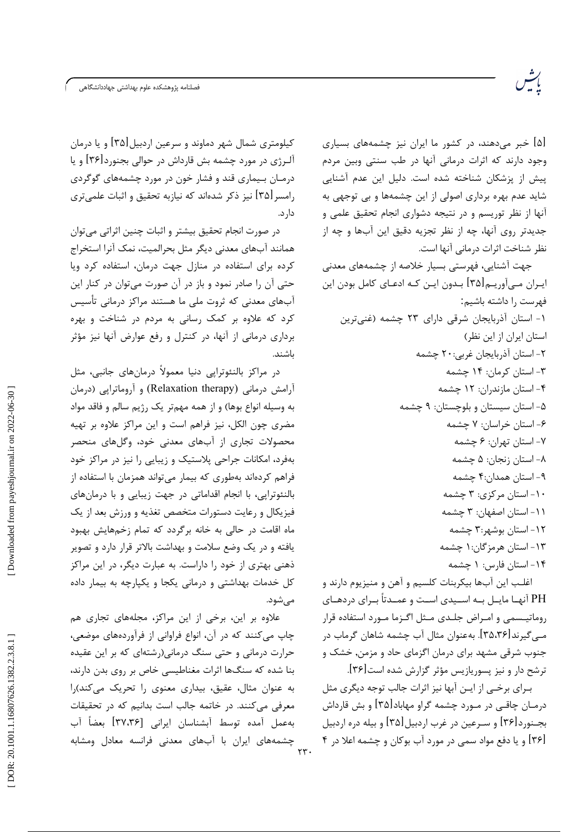.<br>فصلنامه پژوهشکده علوم بهداشتی جهاددانشگاهی

[۵] خبر میدهند، در کشور ما ایران نیز چشمههای بسیاری وجود دارند که اثرات درمانی آنها در طب سنتی وبین مردم ییش از پزشکان شناخته شده است. دلیل این عدم آشنایی شاید عدم بهره برداری اصولی از این چشمهها و بی توجهی به آنها از نظر توریسم و در نتیجه دشواری انجام تحقیق علمی و جدیدتر روی آنها، چه از نظر تجزیه دقیق این آبها و چه از نظر شناخت اثرات درمانی آنها است.

جهت آشنایی، فهرستی بسیار خلاصه از چشمههای معدنی ايـران مـي[وريــم[۳۵] بـدون ايــن كــه ادعــاي كامل بودن اين فهرست را داشته باشیم: ١- استان آذربايجان شرقى داراى ٢٣ چشمه (غنى ترين استان ایران از این نظر) ٢- استان آذربايجان غربي:٢٠ چشمه ۳- استان کرمان: ۱۴ چشمه ۴- استان مازندران: ۱۲ چشمه ۵- استان سیستان و بلوچستان: ۹ چشمه ۶- استان خراسان: ۷ چشمه ۷- استان تهران: ۶ چشمه ٨- استان زنجان: ۵ چشمه ۹- استان همدان:۴ چشمه ۱۰- استان مرکزی: ۳ چشمه ١١- استان اصفهان: ٣ چشمه ۱۲- استان بوشهر:۳ چشمه ۱۳- استان هرمزگان: ۱ چشمه ۱۴- استان فارس: ۱ چشمه

اغلب این آبها بیکربنات کلسیم و آهن و منیزیوم دارند و PH آنهـا مايــل بــه اســيدي اســت و عمــدتاً بــراي دردهــاي روماتیـسمی و امـراض جلـدی مـثل اگـزما مـورد استفاده قرار مــی٤گیرند[۳۵،۳۶]. بهعنوان مثال آب چشمه شاهان گرماب در جنوب شرقی مشهد برای درمان اگزمای حاد و مزمن, خشک و ترشح دار و نیز پسوریازیس مؤثر گزارش شده است[۳۶].

بـراي برخـي از ايــن آبها نيز اثرات جالب توجه ديگري مثل درمـان چاقـی در مـورد چشمه گراو مهاباد[۳۵] و بش قارداش بجـنورد[۳۶] و سـرعین در غرب اردبیل[۳۵] و بیله دره اردبیل [۳۶] و یا دفع مواد سمي در مورد آب بوکان و چشمه اعلا در ۴

کیلومتری شمال شهر دماوند و سرعین اردبیل[۳۵] و یا درمان آلـرژي در مورد چشمه بش قارداش در حوالي بجنورد[۳۶] و يا درمـان بـیماری قند و فشار خون در مورد چشمههای گوگردی رامسر [۳۵] نیز ذکر شدهاند که نیازبه تحقیق و اثبات علمی تری دا, د.

در صورت انجام تحقيق بيشتر و اثبات چنين اثراتي مي توان همانند آبهای معدنی دیگر مثل بحرالمیت، نمک آنرا استخراج کرده برای استفاده در منازل جهت درمان، استفاده کرد ویا حتی آن را صادر نمود و باز در آن صورت میتوان در کنار این آبهای معدنی که ثروت ملی ما هستند مراکز درمانی تأسیس کرد که علاوه بر کمک رسانی به مردم در شناخت و بهره برداری درمانی از آنها، در کنترل و رفع عوارض آنها نیز مؤثر ىاشند.

در مراکز بالنئوتراپی دنیا معمولاً درمانهای جانبی، مثل آرامش درمانی (Relaxation therapy) و آروماترایی (درمان به وسیله انواع بوها) و از همه مهمتر یک رژیم سالم و فاقد مواد مضری چون الکل، نیز فراهم است و این مراکز علاوه بر تهیه محصولات تجاری از آبهای معدنی خود، وگلهای منحصر بهفرد، امکانات جراحی پلاستیک و زیبایی را نیز در مراکز خود فراهم کردهاند بهطوری که بیمار میتواند همزمان با استفاده از بالنئوترايي، با انجام اقداماتي در جهت زيبايي و با درمان هاي فیزیکال و رعایت دستورات متخصص تغذیه و ورزش بعد از یک ماه اقامت در حالی به خانه برگردد که تمام زخمهایش بهبود یافته و در یک وضع سلامت و بهداشت بالاتر قرار دارد و تصویر ذهنی بهتری از خود را داراست. به عبارت دیگر، در این مراکز کل خدمات بهداشتی و درمانی یکجا و یکپارچه به بیمار داده مے شود.

علاوه بر این، برخی از این مراکز، مجلههای تجاری هم چاپ میکنند که در آن، انواع فراوانی از فرآوردههای موضعی، حرارت درمانی و حتی سنگ درمانی(رشتهای که بر این عقیده بنا شده که سنگها اثرات مغناطیسی خاص بر روی بدن دارند، به عنوان مثال، عقیق، بیداری معنوی را تحریک میکند)را معرفی میکنند. در خاتمه جالب است بدانیم که در تحقیقات بهعمل آمده توسط آبشناسان ايرانى [٣٧،٣۶] بعضاً آب چشمههای ایران با آبهای معدنی فرانسه معادل ومشابه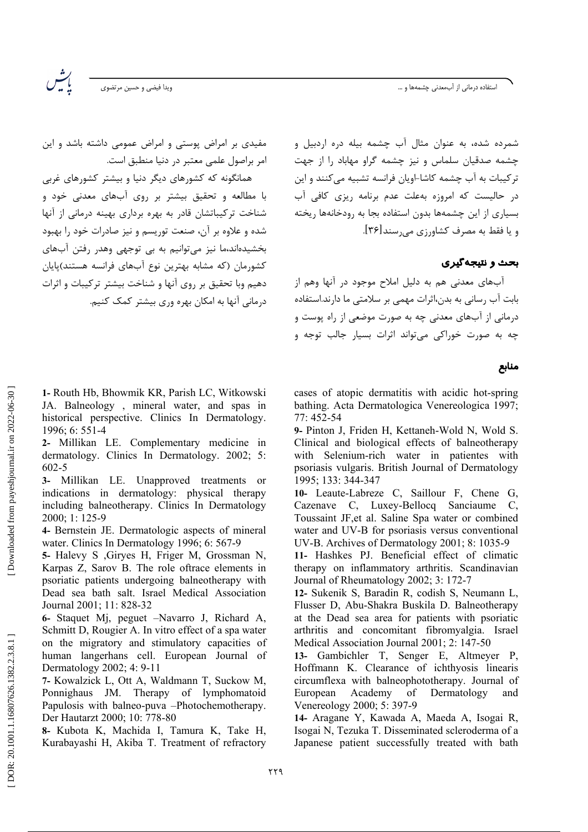استفاده درمانی از آبمعدنی چشمهها و …

ويدا فيضى و حسين مرتضوى

مفیدی بر امراض یوستی و امراض عمومی داشته باشد و این امر براصول علمی معتبر در دنیا منطبق است.

همانگونه که کشورهای دیگر دنیا و بیشتر کشورهای غربی با مطالعه و تحقیق بیشتر بر روی آبهای معدنی خود و شناخت ترکیباتشان قادر به بهره برداری بهینه درمانی از آنها شده و علاوه بر آن، صنعت توریسم و نیز صادرات خود را بهبود بخشیدهاند،ما نیز میتوانیم به بی توجهی وهدر رفتن آبهای کشورمان (که مشابه بهترین نوع آبهای فرانسه هستند)پایان دهیم وبا تحقیق بر روی آنها و شناخت بیشتر ترکیبات و اثرات درمانی آنها به امکان بهره وری بیشتر کمک کنیم. شمرده شده، به عنوان مثال آب چشمه بیله دره اردبیل و چشمه صدقیان سلماس و نیز چشمه گراو مهاباد را از جهت ترکیبات به آب چشمه کاشا-اویان فرانسه تشبیه می کنند و این در حالیست که امروزه بهعلت عدم برنامه ریزی کافی آب بسیاری از این چشمهها بدون استفاده بجا به رودخانهها ریخته و یا فقط به مصرف کشاورزی می رسند [۳۶].

### بحث و نتيجه گيري

۔<br>آبھای معدنی هم به دلیل املاح موجود در آنها وهم از بابت آب رسانی به بدن،اثرات مهمی بر سلامتی ما دارند.استفاده درمانی از آبهای معدنی چه به صورت موضعی از راه پوست و چه به صورت خوراکي مي ټواند اثرات بسيار جالب توجه و

## منابع

1- Routh Hb, Bhowmik KR, Parish LC, Witkowski JA. Balneology, mineral water, and spas in historical perspective. Clinics In Dermatology. 1996; 6: 551-4

2- Millikan LE. Complementary medicine in dermatology. Clinics In Dermatology. 2002; 5:  $602 - 5$ 

3- Millikan LE. Unapproved treatments or indications in dermatology: physical therapy including balneotherapy. Clinics In Dermatology 2000; 1: 125-9

4- Bernstein JE. Dermatologic aspects of mineral water. Clinics In Dermatology 1996; 6: 567-9

5- Halevy S , Giryes H, Friger M, Grossman N, Karpas Z, Sarov B. The role oftrace elements in psoriatic patients undergoing balneotherapy with Dead sea bath salt. Israel Medical Association Journal 2001; 11: 828-32

6- Staquet Mj, peguet -Navarro J, Richard A, Schmitt D, Rougier A. In vitro effect of a spa water on the migratory and stimulatory capacities of human langerhans cell. European Journal of Dermatology 2002: 4: 9-11

7- Kowalzick L, Ott A, Waldmann T, Suckow M, Ponnighaus JM. Therapy of lymphomatoid Papulosis with balneo-puva -Photochemotherapy. Der Hautarzt 2000; 10: 778-80

8- Kubota K, Machida I, Tamura K, Take H, Kurabayashi H, Akiba T. Treatment of refractory cases of atopic dermatitis with acidic hot-spring bathing. Acta Dermatologica Venereologica 1997;  $77:452-54$ 

9- Pinton J, Friden H, Kettaneh-Wold N, Wold S. Clinical and biological effects of balneotherapy with Selenium-rich water in patientes with psoriasis vulgaris. British Journal of Dermatology 1995; 133: 344-347

10- Leaute-Labreze C, Saillour F, Chene G, Cazenave C, Luxey-Bellocq Sanciaume C, Toussaint JF, et al. Saline Spa water or combined water and UV-B for psoriasis versus conventional UV-B. Archives of Dermatology 2001; 8: 1035-9

11- Hashkes PJ. Beneficial effect of climatic therapy on inflammatory arthritis. Scandinavian Journal of Rheumatology 2002; 3: 172-7

12- Sukenik S, Baradin R, codish S, Neumann L, Flusser D, Abu-Shakra Buskila D. Balneotherapy at the Dead sea area for patients with psoriatic arthritis and concomitant fibromyalgia. Israel Medical Association Journal 2001; 2: 147-50

13- Gambichler T, Senger E, Altmeyer P, Hoffmann K. Clearance of ichthyosis linearis circumflexa with balneophototherapy. Journal of European Academy <sub>of</sub> Dermatology and Venereology 2000; 5: 397-9

14- Aragane Y, Kawada A, Maeda A, Isogai R, Isogai N, Tezuka T. Disseminated scleroderma of a Japanese patient successfully treated with bath

Downloaded from payeshjournal.ir on 2022-06-30